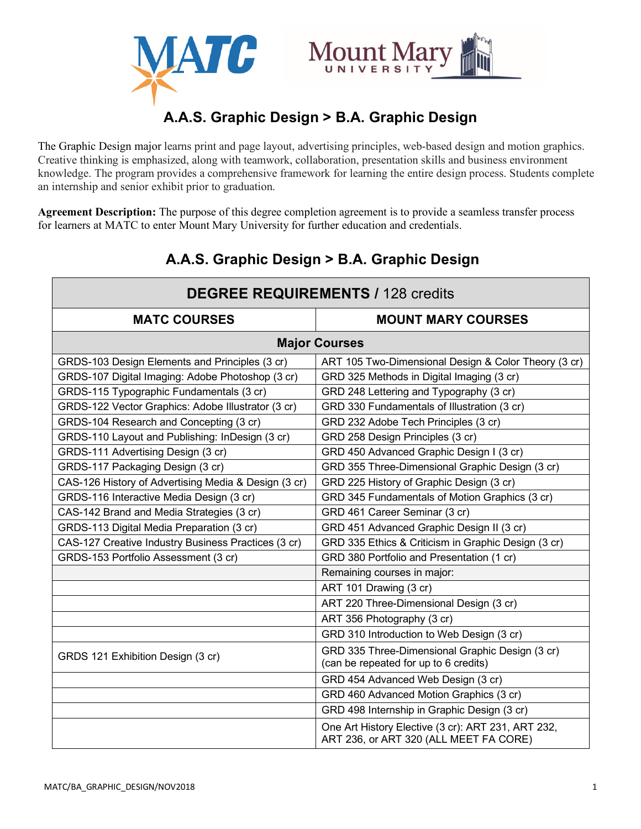



# **A.A.S. Graphic Design > B.A. Graphic Design**

The Graphic Design major learns print and page layout, advertising principles, web-based design and motion graphics. Creative thinking is emphasized, along with teamwork, collaboration, presentation skills and business environment knowledge. The program provides a comprehensive framework for learning the entire design process. Students complete an internship and senior exhibit prior to graduation.

**Agreement Description:** The purpose of this degree completion agreement is to provide a seamless transfer process for learners at MATC to enter Mount Mary University for further education and credentials.

| <b>DEGREE REQUIREMENTS / 128 credits</b>             |                                                                                              |
|------------------------------------------------------|----------------------------------------------------------------------------------------------|
| <b>MATC COURSES</b>                                  | <b>MOUNT MARY COURSES</b>                                                                    |
| <b>Major Courses</b>                                 |                                                                                              |
| GRDS-103 Design Elements and Principles (3 cr)       | ART 105 Two-Dimensional Design & Color Theory (3 cr)                                         |
| GRDS-107 Digital Imaging: Adobe Photoshop (3 cr)     | GRD 325 Methods in Digital Imaging (3 cr)                                                    |
| GRDS-115 Typographic Fundamentals (3 cr)             | GRD 248 Lettering and Typography (3 cr)                                                      |
| GRDS-122 Vector Graphics: Adobe Illustrator (3 cr)   | GRD 330 Fundamentals of Illustration (3 cr)                                                  |
| GRDS-104 Research and Concepting (3 cr)              | GRD 232 Adobe Tech Principles (3 cr)                                                         |
| GRDS-110 Layout and Publishing: InDesign (3 cr)      | GRD 258 Design Principles (3 cr)                                                             |
| GRDS-111 Advertising Design (3 cr)                   | GRD 450 Advanced Graphic Design I (3 cr)                                                     |
| GRDS-117 Packaging Design (3 cr)                     | GRD 355 Three-Dimensional Graphic Design (3 cr)                                              |
| CAS-126 History of Advertising Media & Design (3 cr) | GRD 225 History of Graphic Design (3 cr)                                                     |
| GRDS-116 Interactive Media Design (3 cr)             | GRD 345 Fundamentals of Motion Graphics (3 cr)                                               |
| CAS-142 Brand and Media Strategies (3 cr)            | GRD 461 Career Seminar (3 cr)                                                                |
| GRDS-113 Digital Media Preparation (3 cr)            | GRD 451 Advanced Graphic Design II (3 cr)                                                    |
| CAS-127 Creative Industry Business Practices (3 cr)  | GRD 335 Ethics & Criticism in Graphic Design (3 cr)                                          |
| GRDS-153 Portfolio Assessment (3 cr)                 | GRD 380 Portfolio and Presentation (1 cr)                                                    |
|                                                      | Remaining courses in major:                                                                  |
|                                                      | ART 101 Drawing (3 cr)                                                                       |
|                                                      | ART 220 Three-Dimensional Design (3 cr)                                                      |
|                                                      | ART 356 Photography (3 cr)                                                                   |
|                                                      | GRD 310 Introduction to Web Design (3 cr)                                                    |
| GRDS 121 Exhibition Design (3 cr)                    | GRD 335 Three-Dimensional Graphic Design (3 cr)<br>(can be repeated for up to 6 credits)     |
|                                                      | GRD 454 Advanced Web Design (3 cr)                                                           |
|                                                      | GRD 460 Advanced Motion Graphics (3 cr)                                                      |
|                                                      | GRD 498 Internship in Graphic Design (3 cr)                                                  |
|                                                      | One Art History Elective (3 cr): ART 231, ART 232,<br>ART 236, or ART 320 (ALL MEET FA CORE) |

## **A.A.S. Graphic Design > B.A. Graphic Design**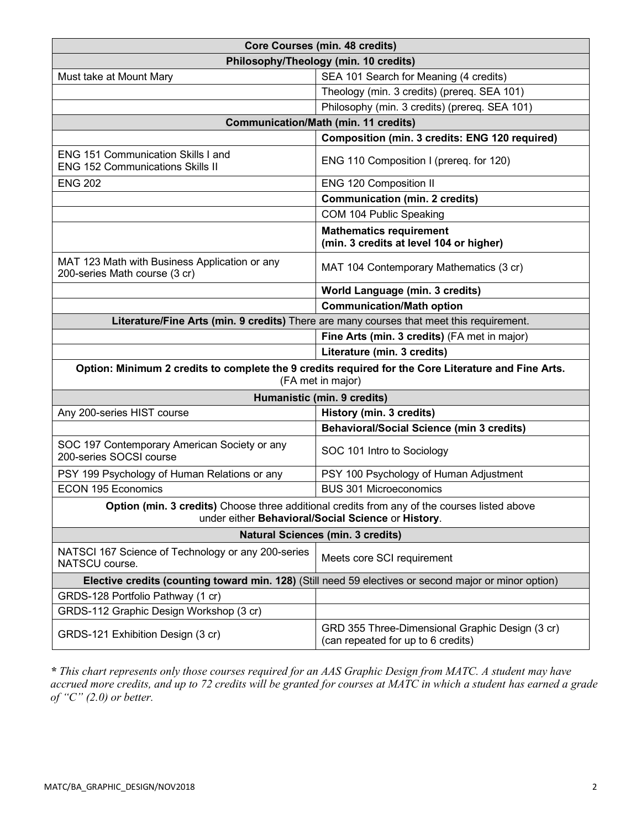| <b>Core Courses (min. 48 credits)</b>                                                                                                              |                                                                                       |
|----------------------------------------------------------------------------------------------------------------------------------------------------|---------------------------------------------------------------------------------------|
| Philosophy/Theology (min. 10 credits)                                                                                                              |                                                                                       |
| Must take at Mount Mary                                                                                                                            | SEA 101 Search for Meaning (4 credits)                                                |
|                                                                                                                                                    | Theology (min. 3 credits) (prereq. SEA 101)                                           |
|                                                                                                                                                    | Philosophy (min. 3 credits) (prereq. SEA 101)                                         |
| <b>Communication/Math (min. 11 credits)</b>                                                                                                        |                                                                                       |
|                                                                                                                                                    | <b>Composition (min. 3 credits: ENG 120 required)</b>                                 |
| <b>ENG 151 Communication Skills I and</b><br><b>ENG 152 Communications Skills II</b>                                                               | ENG 110 Composition I (prereq. for 120)                                               |
| <b>ENG 202</b>                                                                                                                                     | ENG 120 Composition II                                                                |
|                                                                                                                                                    | <b>Communication (min. 2 credits)</b>                                                 |
|                                                                                                                                                    | COM 104 Public Speaking                                                               |
|                                                                                                                                                    | <b>Mathematics requirement</b><br>(min. 3 credits at level 104 or higher)             |
| MAT 123 Math with Business Application or any<br>200-series Math course (3 cr)                                                                     | MAT 104 Contemporary Mathematics (3 cr)                                               |
|                                                                                                                                                    | World Language (min. 3 credits)                                                       |
|                                                                                                                                                    | <b>Communication/Math option</b>                                                      |
| Literature/Fine Arts (min. 9 credits) There are many courses that meet this requirement.                                                           |                                                                                       |
|                                                                                                                                                    | Fine Arts (min. 3 credits) (FA met in major)                                          |
|                                                                                                                                                    | Literature (min. 3 credits)                                                           |
| Option: Minimum 2 credits to complete the 9 credits required for the Core Literature and Fine Arts.<br>(FA met in major)                           |                                                                                       |
| Humanistic (min. 9 credits)                                                                                                                        |                                                                                       |
| Any 200-series HIST course                                                                                                                         | <b>History (min. 3 credits)</b>                                                       |
|                                                                                                                                                    | <b>Behavioral/Social Science (min 3 credits)</b>                                      |
| SOC 197 Contemporary American Society or any<br>200-series SOCSI course                                                                            | SOC 101 Intro to Sociology                                                            |
| PSY 199 Psychology of Human Relations or any                                                                                                       | PSY 100 Psychology of Human Adjustment                                                |
| <b>ECON 195 Economics</b>                                                                                                                          | <b>BUS 301 Microeconomics</b>                                                         |
| Option (min. 3 credits) Choose three additional credits from any of the courses listed above<br>under either Behavioral/Social Science or History. |                                                                                       |
| <b>Natural Sciences (min. 3 credits)</b>                                                                                                           |                                                                                       |
| NATSCI 167 Science of Technology or any 200-series<br>NATSCU course.                                                                               | Meets core SCI requirement                                                            |
| Elective credits (counting toward min. 128) (Still need 59 electives or second major or minor option)                                              |                                                                                       |
| GRDS-128 Portfolio Pathway (1 cr)                                                                                                                  |                                                                                       |
| GRDS-112 Graphic Design Workshop (3 cr)                                                                                                            |                                                                                       |
| GRDS-121 Exhibition Design (3 cr)                                                                                                                  | GRD 355 Three-Dimensional Graphic Design (3 cr)<br>(can repeated for up to 6 credits) |

*\* This chart represents only those courses required for an AAS Graphic Design from MATC. A student may have accrued more credits, and up to 72 credits will be granted for courses at MATC in which a student has earned a grade of "C" (2.0) or better.*